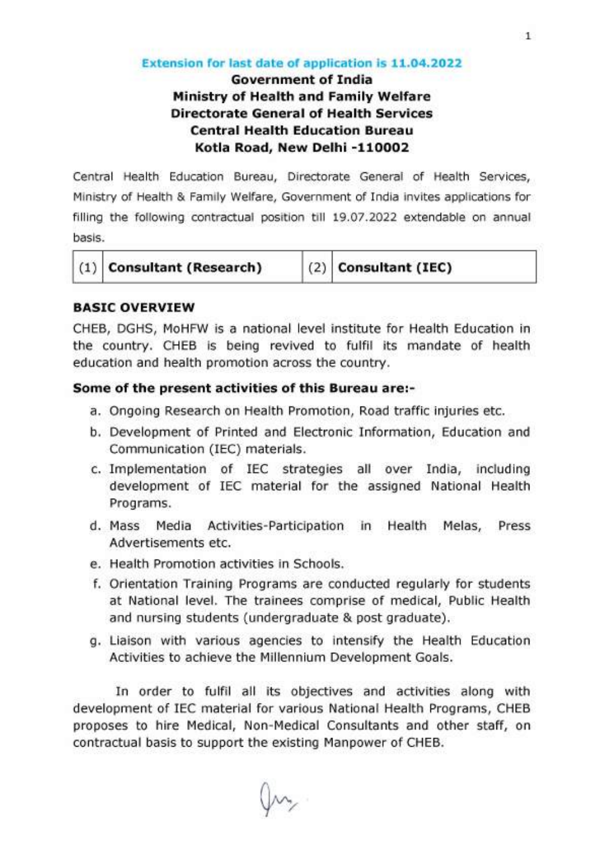#### Extension for last date of application is 11.04.2022

## Government of India Ministry of Health and Family Welfare Directorate General of Health Services **Central Health Education Bureau** Kotla Road, New Delhi -110002

Central Health Education Bureau, Directorate General of Health Services, Ministry of Health & Family Welfare, Government of India invites applications for filling the following contractual position till 19.07.2022 extendable on annual basis.

|  | $(1)$ Consultant (Research) | $(2)$ Consultant (IEC) |  |
|--|-----------------------------|------------------------|--|
|  |                             |                        |  |

#### **BASIC OVERVIEW**

CHEB, DGHS, MoHFW is a national level institute for Health Education in the country. CHEB is being revived to fulfil its mandate of health education and health promotion across the country.

#### Some of the present activities of this Bureau are:-

- a. Ongoing Research on Health Promotion, Road traffic injuries etc.
- b. Development of Printed and Electronic Information, Education and Communication (IEC) materials.
- c. Implementation of IEC strategies all over India, including development of IEC material for the assigned National Health Programs.
- d. Mass Media Activities-Participation in Health Melas, Press Advertisements etc.
- e. Health Promotion activities in Schools.
- f. Orientation Training Programs are conducted regularly for students at National level. The trainees comprise of medical, Public Health and nursing students (undergraduate & post graduate).
- g. Liaison with various agencies to intensify the Health Education Activities to achieve the Millennium Development Goals.

In order to fulfil all its objectives and activities along with development of IEC material for various National Health Programs, CHEB proposes to hire Medical, Non-Medical Consultants and other staff, on contractual basis to support the existing Manpower of CHEB.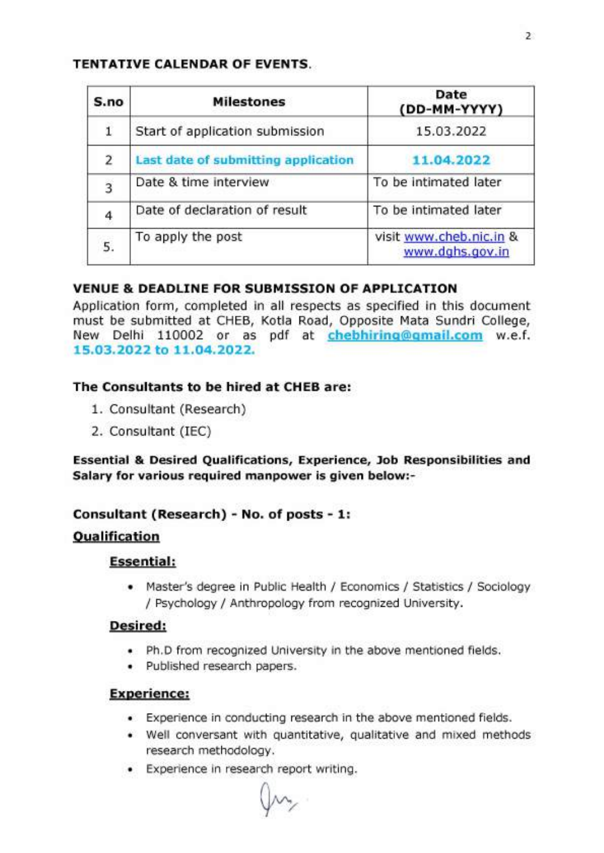#### TENTATIVE CALENDAR OF EVENTS.

| S.no           | <b>Milestones</b>                   | Date<br>(DD-MM-YYYY)                       |
|----------------|-------------------------------------|--------------------------------------------|
| 1              | Start of application submission     | 15.03.2022                                 |
| 2              | Last date of submitting application | 11.04.2022                                 |
| $\overline{3}$ | Date & time interview               | To be intimated later                      |
| 4              | Date of declaration of result       | To be intimated later                      |
| 5.             | To apply the post                   | visit www.cheb.nic.in &<br>www.dqhs.gov.in |

### VENUE & DEADLINE FOR SUBMISSION OF APPLICATION

Application form, completed in all respects as specified in this document must be submitted at CHEB, Kotla Road, Opposite Mata Sundri College, New Delhi 110002 or as pdf at chebhiring@gmail.com w.e.f. 15 .03 .2022 to 11 .04 .2022 .

### The Consultants to be hired at CHEB are:

- 1. Consultant (Research)
- 2. Consultant (IEC)

Essential & Desired Qualifications, Experience, Job Responsibilities and Salary for various required manpower is given below:-

# Consultant (Research) - No. of posts - 1:

# **Qualification**

### Essential:

• Master's degree in Public Health / Economics / Statistics / Sociology / Psychology / Anthropology from recognized University.

### Desired:

- Ph.D from recognized University in the above mentioned fields.
- Published research papers.

### Experience:

- Experience in conducting research in the above mentioned fields.
- Well conversant with quantitative, qualitative and mixed methods research methodology.
- Experience in research report writing.

 $M_{\gamma}$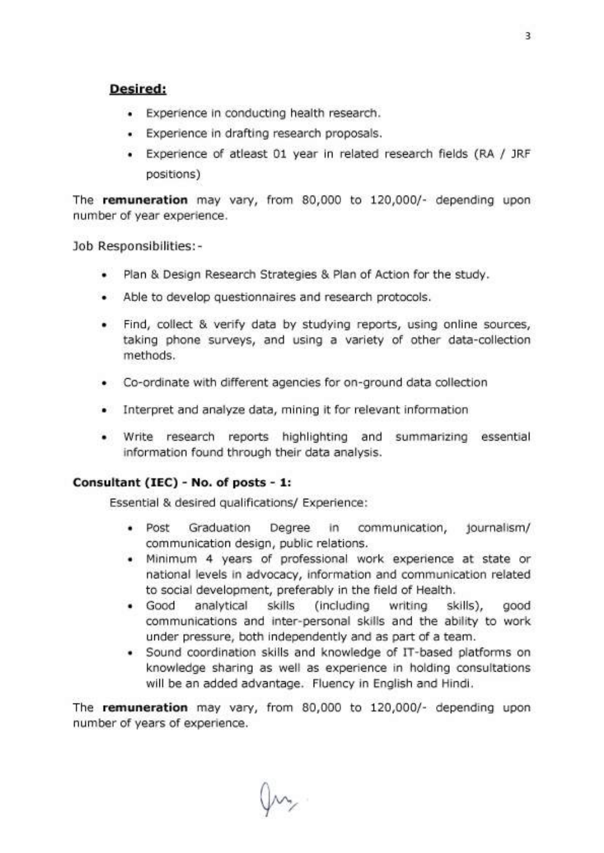#### Desired:

- Experience in conducting health research.
- Experience in drafting research proposals.
- Experience of atleast 01 year in related research fields (RA / JRF positions)

The remuneration may vary, from 80,000 to 120,000/- depending upon number of year experience.

Job Responsibilities:-

- Plan & Design Research Strategies & Plan of Action for the study.
- Able to develop questionnaires and research protocols.
- Find, collect & verify data by studying reports, using online sources, taking phone surveys, and using a variety of other data-collection methods.
- Co-ordinate with different agencies for on-ground data collection
- Interpret and analyze data, mining it for relevant information
- Write research reports highlighting and summarizing essential information found through their data analysis.

#### Consultant (IEC) - No. of posts - 1:

Essential & desired qualifications/ Experience:

- Post Graduation Degree in communication, journalism/ communication design, public relations.
- Minimum 4 years of professional work experience at state or national levels in advocacy, information and communication related to social development, preferably in the field of Health.
- Good analytical skills (including writing skills), good communications and inter-personal skills and the ability to work under pressure, both independently and as part of a team.
- Sound coordination skills and knowledge of IT-based platforms on knowledge sharing as well as experience in holding consultations will be an added advantage. Fluency in English and Hindi.

The remuneration may vary, from 80,000 to 120,000/- depending upon number of years of experience.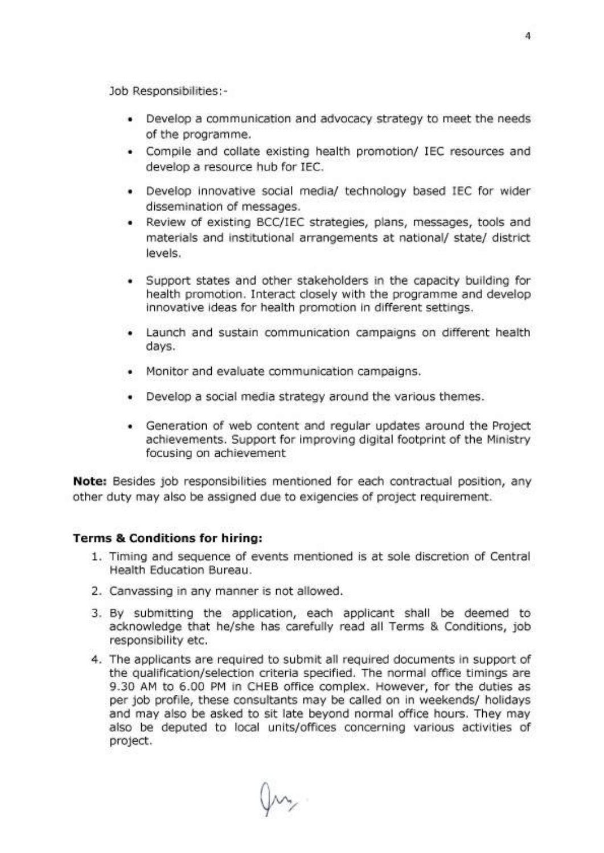Job Responsibilities:-

- Develop a communication and advocacy strategy to meet the needs of the programme.
- Compile and collate existing health promotion/ IEC resources and develop a resource hub for IEC.
- Develop innovative social media/ technology based IEC for wider dissemination of messages.
- Review of existing BCC/IEC strategies, plans, messages, tools and materials and institutional arrangements at national/ state/ district levels.
- Support states and other stakeholders in the capacity building for health promotion. Interact closely with the programme and develop innovative ideas for health promotion in different settings.
- Launch and sustain communication campaigns on different health days.
- Monitor and evaluate communication campaigns.
- Develop a social media strategy around the various themes.
- Generation of web content and regular updates around the Project achievements. Support for improving digital footprint of the Ministry focusing on achievement

Note: Besides job responsibilities mentioned for each contractual position, any other duty may also be assigned due to exigencies of project requirement.

#### Terms & Conditions for hiring:

- 1. Timing and sequence of events mentioned is at sole discretion of Central Health Education Bureau.
- 2. Canvassing in any manner is not allowed.
- 3. By submitting the application, each applicant shall be deemed to acknowledge that he/she has carefully read all Terms & Conditions, job responsibility etc.
- 4. The applicants are required to submit all required documents in support of the qualification/selection criteria specified. The normal office timings are 9.30 AM to 6.00 PM in CHEB office complex. However, for the duties as per job profile, these consultants may be called on in weekends/ holidays and may also be asked to sit late beyond normal office hours. They may also be deputed to local units/offices concerning various activities of project.

JM,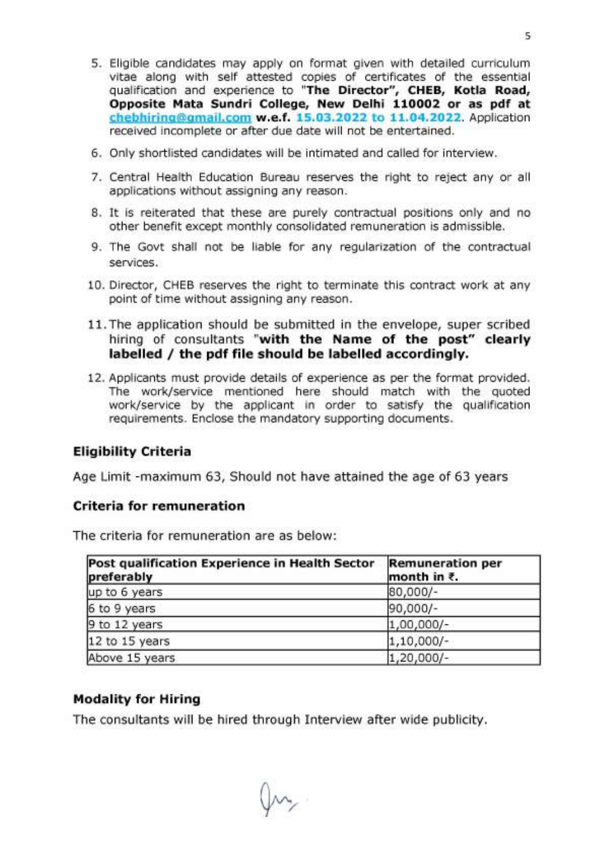- 5. Eligible candidates may apply on format given with detailed curriculum vitae along with self attested copies of certificates of the essential qualification and experience to "The Director", CHEB, Kotla Road, Opposite Mata Sundri College, New Delhi 110002 or as pdf at [chebhiring@gmail.com](mailto:chebhiring@gmail.com) w.e.f. 15.03.2022 to 11.04.2022. Application received incomplete or after due date will not be entertained.
- 6. Only shortlisted candidates will be intimated and called for interview.
- 7. Central Health Education Bureau reserves the right to reject any or all applications without assigning any reason.
- 8. It is reiterated that these are purely contractual positions only and no other benefit except monthly consolidated remuneration is admissible.
- 9. The Govt shall not be liable for any regularization of the contractual services.
- 10. Director, CHEB reserves the right to terminate this contract work at any point of time without assigning any reason.
- 11. The application should be submitted in the envelope, super scribed hiring of consultants "with the Name of the post" clearly labelled / the pdf file should be labelled accordingly.
- 12. Applicants must provide details of experience as per the format provided. The work/service mentioned here should match with the quoted work/service by the applicant in order to satisfy the qualification requirements. Enclose the mandatory supporting documents.

#### Eligibility Criteria

Age Limit -maximum 63, Should not have attained the age of 63 years

#### Criteria for remuneration

The criteria for remuneration are as below:

| Post qualification Experience in Health Sector<br>preferably | <b>Remuneration per</b><br>month in $\bar{\tau}$ . |
|--------------------------------------------------------------|----------------------------------------------------|
| up to 6 years                                                | 80,000/-                                           |
| 6 to 9 years                                                 | 90,000/-                                           |
| 9 to 12 years                                                | $1,00,000/-$                                       |
| 12 to 15 years                                               | $1,10,000/-$                                       |
| Above 15 years                                               | $1,20,000/-$                                       |

#### Modality for Hiring

The consultants will be hired through Interview after wide publicity.

5

Jm,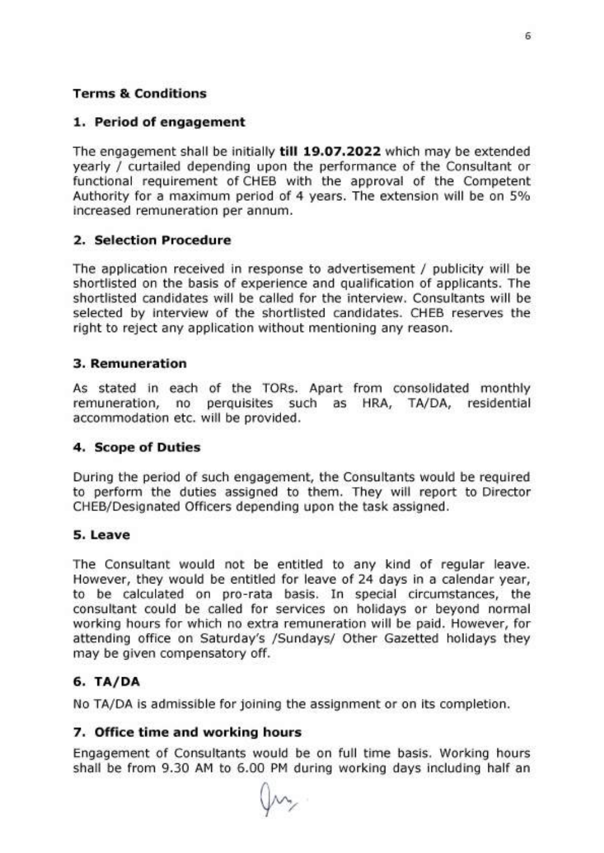### **Terms & Conditions**

#### 1. Period of engagement

The engagement shall be initially till 19.07.2022 which may be extended yearly / curtailed depending upon the performance of the Consultant or functional requirement of CHEB with the approval of the Competent Authority for a maximum period of 4 years. The extension will be on 5% increased remuneration per annum.

#### 2. Selection Procedure

The application received in response to advertisement / publicity will be shortlisted on the basis of experience and qualification of applicants. The shortlisted candidates will be called for the interview. Consultants will be selected by interview of the shortlisted candidates. CHEB reserves the right to reject any application without mentioning any reason.

#### 3. Remuneration

As stated in each of the TORs. Apart from consolidated monthly remuneration, no perquisites such as HRA, TA/DA, residential accommodation etc. will be provided.

#### 4. Scope of Duties

During the period of such engagement, the Consultants would be required to perform the duties assigned to them. They will report to Director CHEB/Designated Officers depending upon the task assigned.

#### 5. Leave

The Consultant would not be entitled to any kind of regular leave. However, they would be entitled for leave of 24 days in a calendar year, to be calculated on pro-rata basis. In special circumstances, the consultant could be called for services on holidays or beyond normal working hours for which no extra remuneration will be paid. However, for attending office on Saturday's /Sundays/ Other Gazetted holidays they may be given compensatory off.

#### 6. TA/DA

No TA/DA is admissible for joining the assignment or on its completion.

#### 7. Office time and working hours

Engagement of Consultants would be on full time basis. Working hours shall be from 9.30 AM to 6.00 PM during working days including half an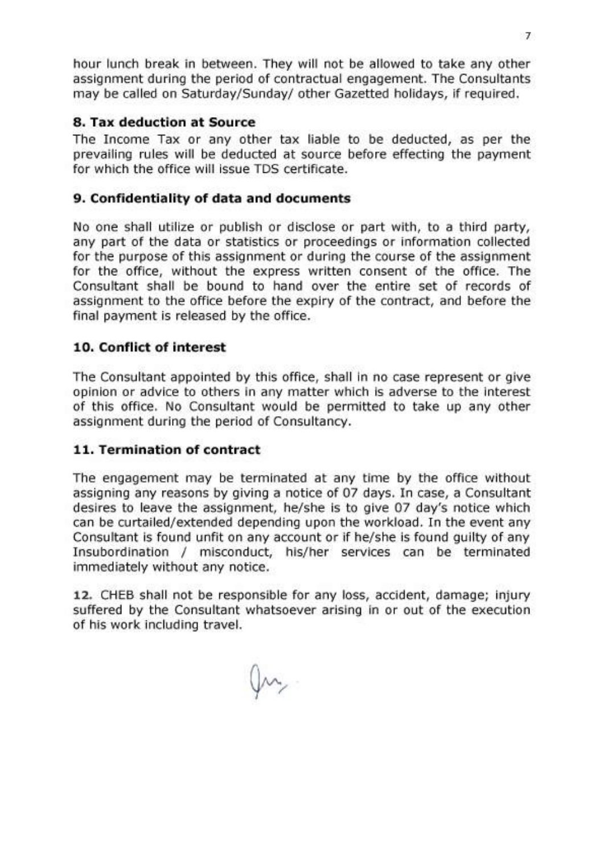hour lunch break in between. They will not be allowed to take any other assignment during the period of contractual engagement. The Consultants may be called on Saturday/Sunday/ other Gazetted holidays, if required.

### 8. Tax deduction at Source

The Income Tax or any other tax liable to be deducted, as per the prevailing rules will be deducted at source before effecting the payment for which the office will issue TDS certificate.

### 9. Confidentiality of data and documents

No one shall utilize or publish or disclose or part with, to a third party, any part of the data or statistics or proceedings or information collected for the purpose of this assignment or during the course of the assignment for the office, without the express written consent of the office. The Consultant shall be bound to hand over the entire set of records of assignment to the office before the expiry of the contract, and before the final payment is released by the office.

### 10. Conflict of interest

The Consultant appointed by this office, shall in no case represent or give opinion or advice to others in any matter which is adverse to the interest of this office. No Consultant would be permitted to take up any other assignment during the period of Consultancy.

#### 11. Termination of contract

The engagement may be terminated at any time by the office without assigning any reasons by giving a notice of 07 days. In case, a Consultant desires to leave the assignment, he/she is to give 07 day's notice which can be curtailed/extended depending upon the workload. In the event any Consultant is found unfit on any account or if he/she is found guilty of any Insubordination / misconduct, his/her services can be terminated immediately without any notice.

12. CHEB shall not be responsible for any loss, accident, damage; injury suffered by the Consultant whatsoever arising in or out of the execution of his work including travel.

JM,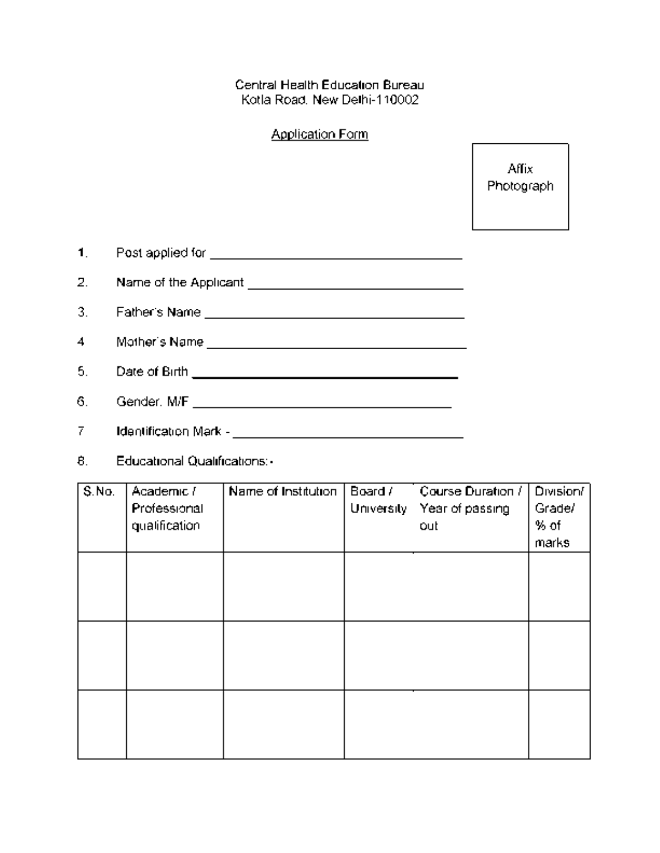#### Central Health Education Bureau Kotla Road, New Delhi-110002

#### Application Form

Affix Photograph

| Post applied for      |
|-----------------------|
| Name of the Applicant |

3. Father's Name

4. Mother's Name

5. Date of Birth

6. Gender: M/F

7. Identification Mark -

8. Educational Qualifications:-

| S.No. | Academic /    | Name of Institution | Board /    | Course Duration / | Division/ |
|-------|---------------|---------------------|------------|-------------------|-----------|
|       | Professional  |                     | University | Year of passing   | Grade/    |
|       | qualification |                     |            | out               | % of      |
|       |               |                     |            |                   | marks     |
|       |               |                     |            |                   |           |
|       |               |                     |            |                   |           |
|       |               |                     |            |                   |           |
|       |               |                     |            |                   |           |
|       |               |                     |            |                   |           |
|       |               |                     |            |                   |           |
|       |               |                     |            |                   |           |
|       |               |                     |            |                   |           |
|       |               |                     |            |                   |           |
|       |               |                     |            |                   |           |
|       |               |                     |            |                   |           |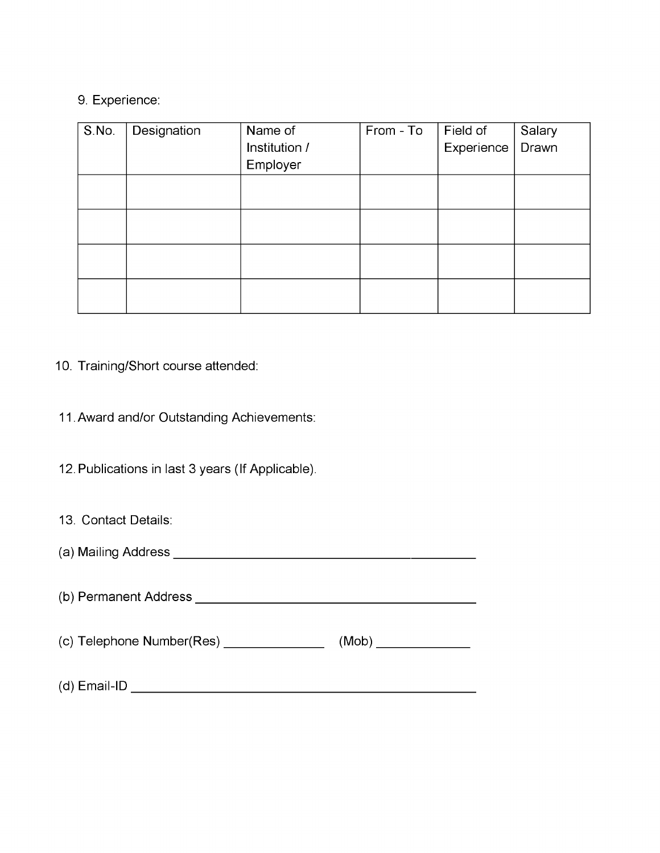#### 9. Experience:

| S.No. | Designation | Name of<br>Institution /<br>Employer | From - To | $\mid$ Field of<br>Experience <sup>1</sup> | Salary<br>Drawn |
|-------|-------------|--------------------------------------|-----------|--------------------------------------------|-----------------|
|       |             |                                      |           |                                            |                 |
|       |             |                                      |           |                                            |                 |
|       |             |                                      |           |                                            |                 |
|       |             |                                      |           |                                            |                 |

# 10. Training/Short course attended:

# 11 .Award and/or Outstanding Achievements:

12. Publications in last 3 years (If Applicable).